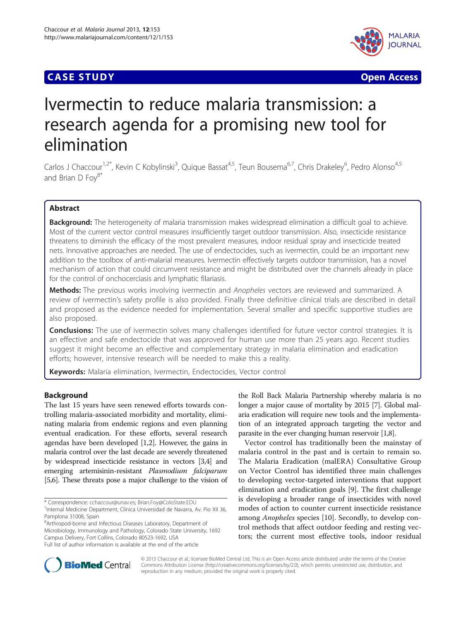## **CASE STUDY CASE STUDY Open Access**



# Ivermectin to reduce malaria transmission: a research agenda for a promising new tool for elimination

Carlos J Chaccour<sup>1,2\*</sup>, Kevin C Kobylinski<sup>3</sup>, Quique Bassat<sup>4,5</sup>, Teun Bousema<sup>6,7</sup>, Chris Drakeley<sup>6</sup>, Pedro Alonso<sup>4,5</sup> and Brian D  $Fov<sup>8*</sup>$ 

## Abstract

Background: The heterogeneity of malaria transmission makes widespread elimination a difficult goal to achieve. Most of the current vector control measures insufficiently target outdoor transmission. Also, insecticide resistance threatens to diminish the efficacy of the most prevalent measures, indoor residual spray and insecticide treated nets. Innovative approaches are needed. The use of endectocides, such as ivermectin, could be an important new addition to the toolbox of anti-malarial measures. Ivermectin effectively targets outdoor transmission, has a novel mechanism of action that could circumvent resistance and might be distributed over the channels already in place for the control of onchocerciasis and lymphatic filariasis.

Methods: The previous works involving ivermectin and Anopheles vectors are reviewed and summarized. A review of ivermectin's safety profile is also provided. Finally three definitive clinical trials are described in detail and proposed as the evidence needed for implementation. Several smaller and specific supportive studies are also proposed.

**Conclusions:** The use of ivermectin solves many challenges identified for future vector control strategies. It is an effective and safe endectocide that was approved for human use more than 25 years ago. Recent studies suggest it might become an effective and complementary strategy in malaria elimination and eradication efforts; however, intensive research will be needed to make this a reality.

Keywords: Malaria elimination, Ivermectin, Endectocides, Vector control

## Background

The last 15 years have seen renewed efforts towards controlling malaria-associated morbidity and mortality, eliminating malaria from endemic regions and even planning eventual eradication. For these efforts, several research agendas have been developed [\[1,2\]](#page-6-0). However, the gains in malaria control over the last decade are severely threatened by widespread insecticide resistance in vectors [[3,4\]](#page-6-0) and emerging artemisinin-resistant Plasmodium falciparum [[5,6](#page-6-0)]. These threats pose a major challenge to the vision of

<sup>8</sup> Arthropod-borne and Infectious Diseases Laboratory, Department of Microbiology, Immunology and Pathology, Colorado State University, 1692 Campus Delivery, Fort Collins, Colorado 80523-1692, USA Full list of author information is available at the end of the article

the Roll Back Malaria Partnership whereby malaria is no longer a major cause of mortality by 2015 [\[7](#page-6-0)]. Global malaria eradication will require new tools and the implementation of an integrated approach targeting the vector and parasite in the ever changing human reservoir [\[1,8\]](#page-6-0).

Vector control has traditionally been the mainstay of malaria control in the past and is certain to remain so. The Malaria Eradication (malERA) Consultative Group on Vector Control has identified three main challenges to developing vector-targeted interventions that support elimination and eradication goals [\[9](#page-6-0)]. The first challenge is developing a broader range of insecticides with novel modes of action to counter current insecticide resistance among Anopheles species [[10](#page-6-0)]. Secondly, to develop control methods that affect outdoor feeding and resting vectors; the current most effective tools, indoor residual



© 2013 Chaccour et al.; licensee BioMed Central Ltd. This is an Open Access article distributed under the terms of the Creative Commons Attribution License [\(http://creativecommons.org/licenses/by/2.0\)](http://creativecommons.org/licenses/by/2.0), which permits unrestricted use, distribution, and reproduction in any medium, provided the original work is properly cited.

<sup>\*</sup> Correspondence: [cchaccour@unav.es;](mailto:cchaccour@unav.es) [Brian.Foy@ColoState.EDU](mailto:Brian.Foy@ColoState.EDU) <sup>1</sup>

<sup>&</sup>lt;sup>1</sup>Internal Medicine Department, Clínica Universidad de Navarra, Av. Pio XII 36, Pamplona 31008, Spain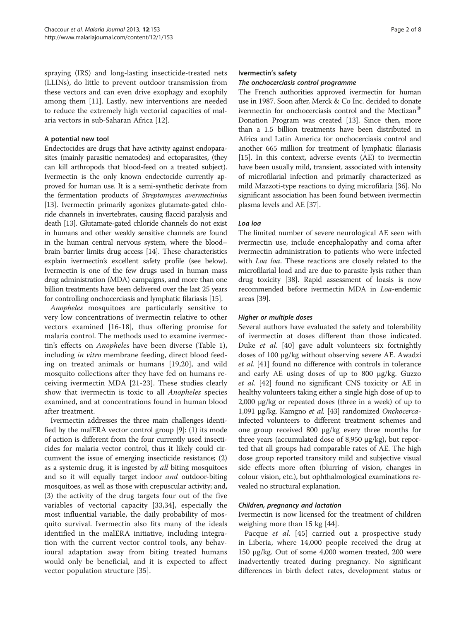spraying (IRS) and long-lasting insecticide-treated nets (LLINs), do little to prevent outdoor transmission from these vectors and can even drive exophagy and exophily among them [[11\]](#page-6-0). Lastly, new interventions are needed to reduce the extremely high vectorial capacities of malaria vectors in sub-Saharan Africa [[12](#page-6-0)].

## A potential new tool

Endectocides are drugs that have activity against endoparasites (mainly parasitic nematodes) and ectoparasites, (they can kill arthropods that blood-feed on a treated subject). Ivermectin is the only known endectocide currently approved for human use. It is a semi-synthetic derivate from the fermentation products of Streptomyces avermectinius [[13](#page-6-0)]. Ivermectin primarily agonizes glutamate-gated chloride channels in invertebrates, causing flaccid paralysis and death [\[13\]](#page-6-0). Glutamate-gated chloride channels do not exist in humans and other weakly sensitive channels are found in the human central nervous system, where the blood– brain barrier limits drug access [\[14\]](#page-6-0). These characteristics explain ivermectin's excellent safety profile (see below). Ivermectin is one of the few drugs used in human mass drug administration (MDA) campaigns, and more than one billion treatments have been delivered over the last 25 years for controlling onchocerciasis and lymphatic filariasis [\[15\]](#page-6-0).

Anopheles mosquitoes are particularly sensitive to very low concentrations of ivermectin relative to other vectors examined [[16-18](#page-6-0)], thus offering promise for malaria control. The methods used to examine ivermectin's effects on Anopheles have been diverse (Table [1](#page-2-0)), including in vitro membrane feeding, direct blood feeding on treated animals or humans [\[19,20](#page-6-0)], and wild mosquito collections after they have fed on humans receiving ivermectin MDA [[21-23](#page-6-0)]. These studies clearly show that ivermectin is toxic to all Anopheles species examined, and at concentrations found in human blood after treatment.

Ivermectin addresses the three main challenges identified by the malERA vector control group [\[9](#page-6-0)]: (1) its mode of action is different from the four currently used insecticides for malaria vector control, thus it likely could circumvent the issue of emerging insecticide resistance; (2) as a systemic drug, it is ingested by *all* biting mosquitoes and so it will equally target indoor *and* outdoor-biting mosquitoes, as well as those with crepuscular activity; and, (3) the activity of the drug targets four out of the five variables of vectorial capacity [[33,34](#page-7-0)], especially the most influential variable, the daily probability of mosquito survival. Ivermectin also fits many of the ideals identified in the malERA initiative, including integration with the current vector control tools, any behavioural adaptation away from biting treated humans would only be beneficial, and it is expected to affect vector population structure [\[35](#page-7-0)].

#### Ivermectin's safety

#### The onchocerciasis control programme

The French authorities approved ivermectin for human use in 1987. Soon after, Merck & Co Inc. decided to donate ivermectin for onchocerciasis control and the Mectizan<sup>®</sup> Donation Program was created [\[13\]](#page-6-0). Since then, more than a 1.5 billion treatments have been distributed in Africa and Latin America for onchocerciasis control and another 665 million for treatment of lymphatic filariasis [[15](#page-6-0)]. In this context, adverse events (AE) to ivermectin have been usually mild, transient, associated with intensity of microfilarial infection and primarily characterized as mild Mazzoti-type reactions to dying microfilaria [\[36](#page-7-0)]. No significant association has been found between ivermectin plasma levels and AE [\[37\]](#page-7-0).

#### Loa loa

The limited number of severe neurological AE seen with ivermectin use, include encephalopathy and coma after ivermectin administration to patients who were infected with *Loa loa*. These reactions are closely related to the microfilarial load and are due to parasite lysis rather than drug toxicity [[38](#page-7-0)]. Rapid assessment of loasis is now recommended before ivermectin MDA in Loa-endemic areas [[39](#page-7-0)].

#### Higher or multiple doses

Several authors have evaluated the safety and tolerability of ivermectin at doses different than those indicated. Duke et al. [\[40](#page-7-0)] gave adult volunteers six fortnightly doses of 100 μg/kg without observing severe AE. Awadzi et al. [[41\]](#page-7-0) found no difference with controls in tolerance and early AE using doses of up to 800 μg/kg. Guzzo et al. [\[42](#page-7-0)] found no significant CNS toxicity or AE in healthy volunteers taking either a single high dose of up to 2,000 μg/kg or repeated doses (three in a week) of up to 1,091 μg/kg. Kamgno et al. [[43](#page-7-0)] randomized Onchocercainfected volunteers to different treatment schemes and one group received 800 μg/kg every three months for three years (accumulated dose of 8,950 μg/kg), but reported that all groups had comparable rates of AE. The high dose group reported transitory mild and subjective visual side effects more often (blurring of vision, changes in colour vision, etc.), but ophthalmological examinations revealed no structural explanation.

## Children, pregnancy and lactation

Ivermectin is now licensed for the treatment of children weighing more than 15 kg [\[44](#page-7-0)].

Pacque et al. [\[45](#page-7-0)] carried out a prospective study in Liberia, where 14,000 people received the drug at 150 μg/kg. Out of some 4,000 women treated, 200 were inadvertently treated during pregnancy. No significant differences in birth defect rates, development status or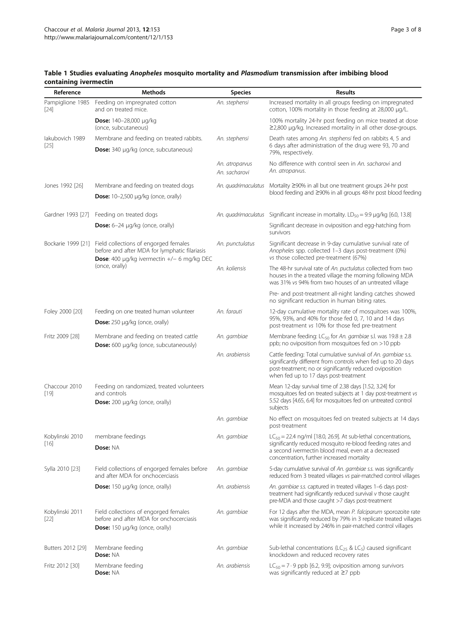| Reference                  | <b>Methods</b>                                                                                                                                                       | <b>Species</b>                  | <b>Results</b>                                                                                                                                                                                                                       |
|----------------------------|----------------------------------------------------------------------------------------------------------------------------------------------------------------------|---------------------------------|--------------------------------------------------------------------------------------------------------------------------------------------------------------------------------------------------------------------------------------|
| Pampiglione 1985<br>$[24]$ | Feeding on impregnated cotton<br>and on treated mice.                                                                                                                | An. stephensi                   | Increased mortality in all groups feeding on impregnated<br>cotton, 100% mortality in those feeding at 28,000 µg/L.                                                                                                                  |
|                            | <b>Dose:</b> $140-28,000 \mu q/kg$<br>(once, subcutaneous)                                                                                                           |                                 | 100% mortality 24-hr post feeding on mice treated at dose<br>$\geq$ 2,800 µg/kg. Increased mortality in all other dose-groups.                                                                                                       |
| lakubovich 1989<br>$[25]$  | Membrane and feeding on treated rabbits.                                                                                                                             | An. stephensi                   | Death rates among An. stephensi fed on rabbits 4, 5 and<br>6 days after administration of the drug were 93, 70 and<br>79%, respectively.                                                                                             |
|                            | <b>Dose:</b> 340 µg/kg (once, subcutaneous)                                                                                                                          |                                 |                                                                                                                                                                                                                                      |
|                            |                                                                                                                                                                      | An. atroparvus<br>An. sacharovi | No difference with control seen in An. sacharovi and<br>An. atroparvus.                                                                                                                                                              |
| Jones 1992 [26]            | Membrane and feeding on treated dogs                                                                                                                                 | An. quadrimaculatus             | Mortality $\geq$ 90% in all but one treatment groups 24-hr post<br>blood feeding and ≥90% in all groups 48-hr post blood feeding                                                                                                     |
|                            | <b>Dose:</b> $10-2,500 \mu q/kg$ (once, orally)                                                                                                                      |                                 |                                                                                                                                                                                                                                      |
| Gardner 1993 [27]          | Feeding on treated dogs                                                                                                                                              | An. quadrimaculatus             | Significant increase in mortality. $LD_{50} = 9.9 \mu g/kg$ [6.0, 13.8]                                                                                                                                                              |
|                            | <b>Dose:</b> $6-24 \mu q/kg$ (once, orally)                                                                                                                          |                                 | Significant decrease in oviposition and egg-hatching from<br>survivors                                                                                                                                                               |
| Bockarie 1999 [21]         | Field collections of engorged females<br>before and after MDA for lymphatic filariasis<br><b>Dose:</b> 400 $\mu$ g/kg ivermectin $+/-$ 6 mg/kg DEC<br>(once, orally) | An. punctulatus                 | Significant decrease in 9-day cumulative survival rate of<br>Anopheles spp. collected 1-3 days post-treatment (0%)<br>vs those collected pre-treatment (67%)                                                                         |
|                            |                                                                                                                                                                      | An. koliensis                   | The 48-hr survival rate of An. puctulatus collected from two<br>houses in the a treated village the morning following MDA<br>was 31% vs 94% from two houses of an untreated village                                                  |
|                            |                                                                                                                                                                      |                                 | Pre- and post-treatment all-night landing catches showed<br>no significant reduction in human biting rates.                                                                                                                          |
| Foley 2000 [20]            | Feeding on one treated human volunteer                                                                                                                               | An. farauti                     | 12-day cumulative mortality rate of mosquitoes was 100%,<br>95%, 93%, and 40% for those fed 0, 7, 10 and 14 days<br>post-treatment vs 10% for those fed pre-treatment                                                                |
|                            | <b>Dose:</b> 250 $\mu$ g/kg (once, orally)                                                                                                                           |                                 |                                                                                                                                                                                                                                      |
| Fritz 2009 [28]            | Membrane and feeding on treated cattle<br>Dose: 600 µg/kg (once, subcutaneously)                                                                                     | An. gambiae                     | Membrane feeding: LC <sub>50</sub> for An. gambiae s.l. was $19.8 \pm 2.8$<br>ppb; no oviposition from mosquitoes fed on >10 ppb                                                                                                     |
|                            |                                                                                                                                                                      | An. arabiensis                  | Cattle feeding: Total cumulative survival of An. gambiae s.s.<br>significantly different from controls when fed up to 20 days<br>post-treatment; no or significantly reduced oviposition<br>when fed up to 17 days post-treatment    |
| Chaccour 2010<br>[19]      | Feeding on randomized, treated volunteers<br>and controls<br>Dose: 200 µg/kg (once, orally)                                                                          |                                 | Mean 12-day survival time of 2.38 days [1.52, 3.24] for<br>mosquitoes fed on treated subjects at 1 day post-treatment vs<br>5.52 days [4.65, 6.4] for mosquitoes fed on untreated control<br>subjects                                |
|                            |                                                                                                                                                                      | An. gambiae                     | No effect on mosquitoes fed on treated subjects at 14 days<br>post-treatment                                                                                                                                                         |
| Kobylinski 2010            | membrane feedings                                                                                                                                                    | An. gambiae                     | $LC_{50}$ = 22.4 ng/ml [18.0, 26.9]. At sub-lethal concentrations,<br>significantly reduced mosquito re-blood feeding rates and<br>a second ivermectin blood meal, even at a decreased<br>concentration, further increased mortality |
| $[16]$                     | Dose: NA                                                                                                                                                             |                                 |                                                                                                                                                                                                                                      |
| Sylla 2010 [23]            | Field collections of engorged females before<br>and after MDA for onchocerciasis                                                                                     | An. gambiae                     | 5-day cumulative survival of An. gambiae s.s. was significantly<br>reduced from 3 treated villages vs pair-matched control villages                                                                                                  |
|                            | Dose: 150 µg/kg (once, orally)                                                                                                                                       | An. arabiensis                  | An. gambiae s.s. captured in treated villages 1-6 days post-<br>treatment had significantly reduced survival v those caught<br>pre-MDA and those caught >7 days post-treatment                                                       |
| Kobylinski 2011<br>$[22]$  | Field collections of engorged females<br>before and after MDA for onchocerciasis<br><b>Dose:</b> 150 µg/kg (once, orally)                                            | An. gambiae                     | For 12 days after the MDA, mean P. falciparum sporozoite rate<br>was significantly reduced by 79% in 3 replicate treated villages<br>while it increased by 246% in pair-matched control villages                                     |
| Butters 2012 [29]          | Membrane feeding<br>Dose: NA                                                                                                                                         | An. gambiae                     | Sub-lethal concentrations (LC $_{25}$ & LC $_{5}$ ) caused significant<br>knockdown and reduced recovery rates                                                                                                                       |
| Fritz 2012 [30]            | Membrane feeding<br>Dose: NA                                                                                                                                         | An. arabiensis                  | $LC_{50} = 7.9$ ppb [6.2, 9.9]; oviposition among survivors<br>was significantly reduced at $\geq$ 7 ppb                                                                                                                             |

## <span id="page-2-0"></span>Table 1 Studies evaluating Anopheles mosquito mortality and Plasmodium transmission after imbibing blood containing ivermectin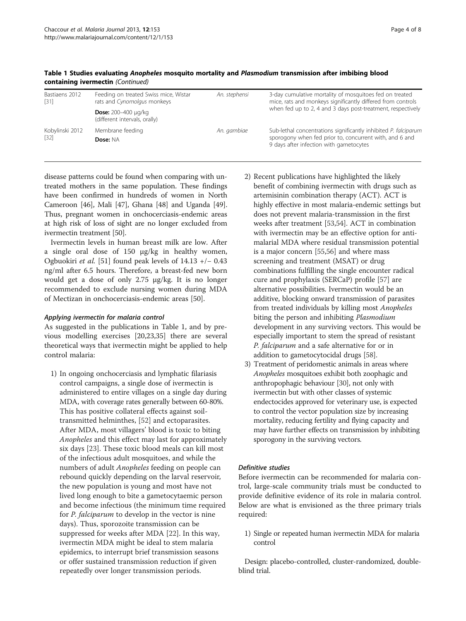| Bastiaens 2012<br>$[31]$  | Feeding on treated Swiss mice, Wistar<br>rats and Cynomolgus monkeys | An. stephensi | 3-day cumulative mortality of mosquitoes fed on treated<br>mice, rats and monkeys significantly differed from controls<br>when fed up to 2, 4 and 3 days post-treatment, respectively |
|---------------------------|----------------------------------------------------------------------|---------------|---------------------------------------------------------------------------------------------------------------------------------------------------------------------------------------|
|                           | <b>Dose:</b> $200 - 400 \mu q/kg$<br>(different intervals, orally)   |               |                                                                                                                                                                                       |
| Kobylinski 2012<br>$[32]$ | Membrane feeding<br>Dose: NA                                         | An. gambiae   | Sub-lethal concentrations significantly inhibited P. falciparum<br>sporogony when fed prior to, concurrent with, and 6 and<br>9 days after infection with gametocytes                 |
|                           |                                                                      |               |                                                                                                                                                                                       |

Table 1 Studies evaluating Anopheles mosquito mortality and Plasmodium transmission after imbibing blood containing ivermectin (Continued)

disease patterns could be found when comparing with untreated mothers in the same population. These findings have been confirmed in hundreds of women in North Cameroon [\[46\]](#page-7-0), Mali [\[47\]](#page-7-0), Ghana [\[48](#page-7-0)] and Uganda [[49](#page-7-0)]. Thus, pregnant women in onchocerciasis-endemic areas at high risk of loss of sight are no longer excluded from ivermectin treatment [[50](#page-7-0)].

Ivermectin levels in human breast milk are low. After a single oral dose of 150 μg/kg in healthy women, Ogbuokiri *et al.* [[51](#page-7-0)] found peak levels of  $14.13 +/- 0.43$ ng/ml after 6.5 hours. Therefore, a breast-fed new born would get a dose of only 2.75 μg/kg. It is no longer recommended to exclude nursing women during MDA of Mectizan in onchocerciasis-endemic areas [[50\]](#page-7-0).

#### Applying ivermectin for malaria control

As suggested in the publications in Table [1,](#page-2-0) and by previous modelling exercises [\[20,23](#page-6-0)[,35\]](#page-7-0) there are several theoretical ways that ivermectin might be applied to help control malaria:

- 1) In ongoing onchocerciasis and lymphatic filariasis control campaigns, a single dose of ivermectin is administered to entire villages on a single day during MDA, with coverage rates generally between 60-80%. This has positive collateral effects against soiltransmitted helminthes, [\[52](#page-7-0)] and ectoparasites. After MDA, most villagers' blood is toxic to biting Anopheles and this effect may last for approximately six days [[23\]](#page-6-0). These toxic blood meals can kill most of the infectious adult mosquitoes, and while the numbers of adult *Anopheles* feeding on people can rebound quickly depending on the larval reservoir, the new population is young and most have not lived long enough to bite a gametocytaemic person and become infectious (the minimum time required for *P. falciparum* to develop in the vector is nine days). Thus, sporozoite transmission can be suppressed for weeks after MDA [[22\]](#page-6-0). In this way, ivermectin MDA might be ideal to stem malaria epidemics, to interrupt brief transmission seasons or offer sustained transmission reduction if given repeatedly over longer transmission periods.
- 2) Recent publications have highlighted the likely benefit of combining ivermectin with drugs such as artemisinin combination therapy (ACT). ACT is highly effective in most malaria-endemic settings but does not prevent malaria-transmission in the first weeks after treatment [[53,54](#page-7-0)]. ACT in combination with ivermectin may be an effective option for antimalarial MDA where residual transmission potential is a major concern [[55,56\]](#page-7-0) and where mass screening and treatment (MSAT) or drug combinations fulfilling the single encounter radical cure and prophylaxis (SERCaP) profile [\[57](#page-7-0)] are alternative possibilities. Ivermectin would be an additive, blocking onward transmission of parasites from treated individuals by killing most Anopheles biting the person and inhibiting Plasmodium development in any surviving vectors. This would be especially important to stem the spread of resistant P. falciparum and a safe alternative for or in addition to gametocytocidal drugs [[58](#page-7-0)].
- 3) Treatment of peridomestic animals in areas where Anopheles mosquitoes exhibit both zoophagic and anthropophagic behaviour [\[30\]](#page-6-0), not only with ivermectin but with other classes of systemic endectocides approved for veterinary use, is expected to control the vector population size by increasing mortality, reducing fertility and flying capacity and may have further effects on transmission by inhibiting sporogony in the surviving vectors.

## Definitive studies

Before ivermectin can be recommended for malaria control, large-scale community trials must be conducted to provide definitive evidence of its role in malaria control. Below are what is envisioned as the three primary trials required:

1) Single or repeated human ivermectin MDA for malaria control

Design: placebo-controlled, cluster-randomized, doubleblind trial.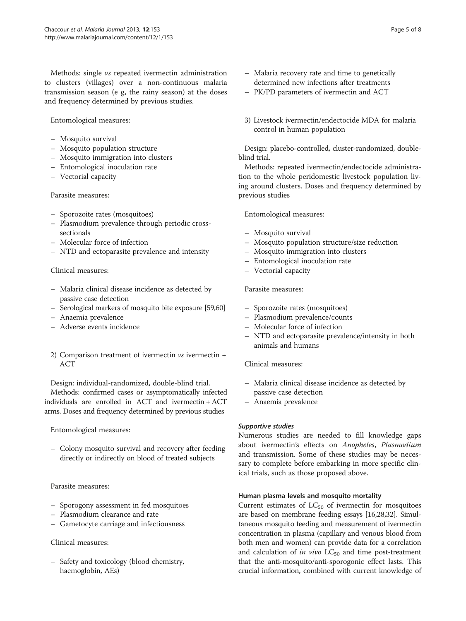Methods: single vs repeated ivermectin administration to clusters (villages) over a non-continuous malaria transmission season (e g, the rainy season) at the doses and frequency determined by previous studies.

Entomological measures:

- Mosquito survival
- Mosquito population structure
- Mosquito immigration into clusters
- Entomological inoculation rate
- Vectorial capacity

Parasite measures:

- Sporozoite rates (mosquitoes)
- Plasmodium prevalence through periodic crosssectionals
- Molecular force of infection
- NTD and ectoparasite prevalence and intensity

Clinical measures:

- Malaria clinical disease incidence as detected by passive case detection
- Serological markers of mosquito bite exposure [\[59,60](#page-7-0)]
- Anaemia prevalence
- Adverse events incidence
- 2) Comparison treatment of ivermectin  $\nu s$  ivermectin + ACT

Design: individual-randomized, double-blind trial. Methods: confirmed cases or asymptomatically infected individuals are enrolled in ACT and ivermectin + ACT arms. Doses and frequency determined by previous studies

Entomological measures:

– Colony mosquito survival and recovery after feeding directly or indirectly on blood of treated subjects

Parasite measures:

- Sporogony assessment in fed mosquitoes
- Plasmodium clearance and rate
- Gametocyte carriage and infectiousness

## Clinical measures:

– Safety and toxicology (blood chemistry, haemoglobin, AEs)

- Malaria recovery rate and time to genetically determined new infections after treatments
- PK/PD parameters of ivermectin and ACT
- 3) Livestock ivermectin/endectocide MDA for malaria control in human population

Design: placebo-controlled, cluster-randomized, doubleblind trial.

Methods: repeated ivermectin/endectocide administration to the whole peridomestic livestock population living around clusters. Doses and frequency determined by previous studies

Entomological measures:

- Mosquito survival
- Mosquito population structure/size reduction
- Mosquito immigration into clusters
- Entomological inoculation rate
- Vectorial capacity

Parasite measures:

- Sporozoite rates (mosquitoes)
- Plasmodium prevalence/counts
- Molecular force of infection
- NTD and ectoparasite prevalence/intensity in both animals and humans

Clinical measures:

- Malaria clinical disease incidence as detected by passive case detection
- Anaemia prevalence

## Supportive studies

Numerous studies are needed to fill knowledge gaps about ivermectin's effects on Anopheles, Plasmodium and transmission. Some of these studies may be necessary to complete before embarking in more specific clinical trials, such as those proposed above.

## Human plasma levels and mosquito mortality

Current estimates of  $LC_{50}$  of ivermectin for mosquitoes are based on membrane feeding essays [\[16,28](#page-6-0),[32](#page-7-0)]. Simultaneous mosquito feeding and measurement of ivermectin concentration in plasma (capillary and venous blood from both men and women) can provide data for a correlation and calculation of in vivo  $LC_{50}$  and time post-treatment that the anti-mosquito/anti-sporogonic effect lasts. This crucial information, combined with current knowledge of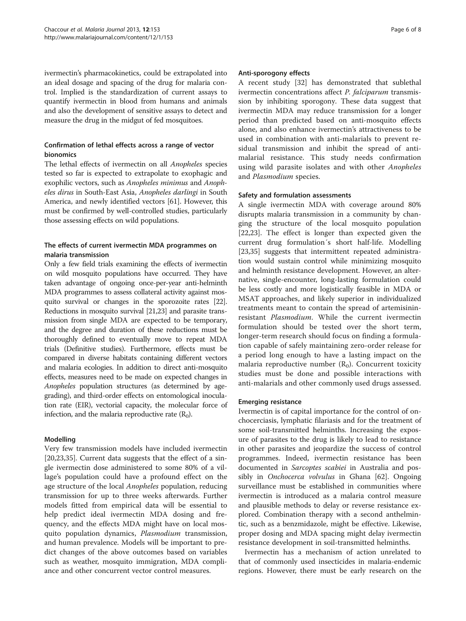ivermectin's pharmacokinetics, could be extrapolated into an ideal dosage and spacing of the drug for malaria control. Implied is the standardization of current assays to quantify ivermectin in blood from humans and animals and also the development of sensitive assays to detect and measure the drug in the midgut of fed mosquitoes.

## Confirmation of lethal effects across a range of vector bionomics

The lethal effects of ivermectin on all Anopheles species tested so far is expected to extrapolate to exophagic and exophilic vectors, such as Anopheles minimus and Anopheles dirus in South-East Asia, Anopheles darlingi in South America, and newly identified vectors [\[61\]](#page-7-0). However, this must be confirmed by well-controlled studies, particularly those assessing effects on wild populations.

## The effects of current ivermectin MDA programmes on malaria transmission

Only a few field trials examining the effects of ivermectin on wild mosquito populations have occurred. They have taken advantage of ongoing once-per-year anti-helminth MDA programmes to assess collateral activity against mosquito survival or changes in the sporozoite rates [\[22](#page-6-0)]. Reductions in mosquito survival [[21,23\]](#page-6-0) and parasite transmission from single MDA are expected to be temporary, and the degree and duration of these reductions must be thoroughly defined to eventually move to repeat MDA trials (Definitive studies). Furthermore, effects must be compared in diverse habitats containing different vectors and malaria ecologies. In addition to direct anti-mosquito effects, measures need to be made on expected changes in Anopheles population structures (as determined by agegrading), and third-order effects on entomological inoculation rate (EIR), vectorial capacity, the molecular force of infection, and the malaria reproductive rate  $(R_0)$ .

## Modelling

Very few transmission models have included ivermectin [[20,23,](#page-6-0)[35\]](#page-7-0). Current data suggests that the effect of a single ivermectin dose administered to some 80% of a village's population could have a profound effect on the age structure of the local *Anopheles* population, reducing transmission for up to three weeks afterwards. Further models fitted from empirical data will be essential to help predict ideal ivermectin MDA dosing and frequency, and the effects MDA might have on local mosquito population dynamics, *Plasmodium* transmission, and human prevalence. Models will be important to predict changes of the above outcomes based on variables such as weather, mosquito immigration, MDA compliance and other concurrent vector control measures.

#### Anti-sporogony effects

A recent study [[32\]](#page-7-0) has demonstrated that sublethal ivermectin concentrations affect P. falciparum transmission by inhibiting sporogony. These data suggest that ivermectin MDA may reduce transmission for a longer period than predicted based on anti-mosquito effects alone, and also enhance ivermectin's attractiveness to be used in combination with anti-malarials to prevent residual transmission and inhibit the spread of antimalarial resistance. This study needs confirmation using wild parasite isolates and with other Anopheles and Plasmodium species.

## Safety and formulation assessments

A single ivermectin MDA with coverage around 80% disrupts malaria transmission in a community by changing the structure of the local mosquito population [[22,23\]](#page-6-0). The effect is longer than expected given the current drug formulation´s short half-life. Modelling [[23,](#page-6-0)[35\]](#page-7-0) suggests that intermittent repeated administration would sustain control while minimizing mosquito and helminth resistance development. However, an alternative, single-encounter, long-lasting formulation could be less costly and more logistically feasible in MDA or MSAT approaches, and likely superior in individualized treatments meant to contain the spread of artemisininresistant Plasmodium. While the current ivermectin formulation should be tested over the short term, longer-term research should focus on finding a formulation capable of safely maintaining zero-order release for a period long enough to have a lasting impact on the malaria reproductive number  $(R_0)$ . Concurrent toxicity studies must be done and possible interactions with anti-malarials and other commonly used drugs assessed.

#### Emerging resistance

Ivermectin is of capital importance for the control of onchocerciasis, lymphatic filariasis and for the treatment of some soil-transmitted helminths. Increasing the exposure of parasites to the drug is likely to lead to resistance in other parasites and jeopardize the success of control programmes. Indeed, ivermectin resistance has been documented in Sarcoptes scabiei in Australia and possibly in *Onchocerca volvulus* in Ghana [\[62](#page-7-0)]. Ongoing surveillance must be established in communities where ivermectin is introduced as a malaria control measure and plausible methods to delay or reverse resistance explored. Combination therapy with a second anthelmintic, such as a benzmidazole, might be effective. Likewise, proper dosing and MDA spacing might delay ivermectin resistance development in soil-transmitted helminths.

Ivermectin has a mechanism of action unrelated to that of commonly used insecticides in malaria-endemic regions. However, there must be early research on the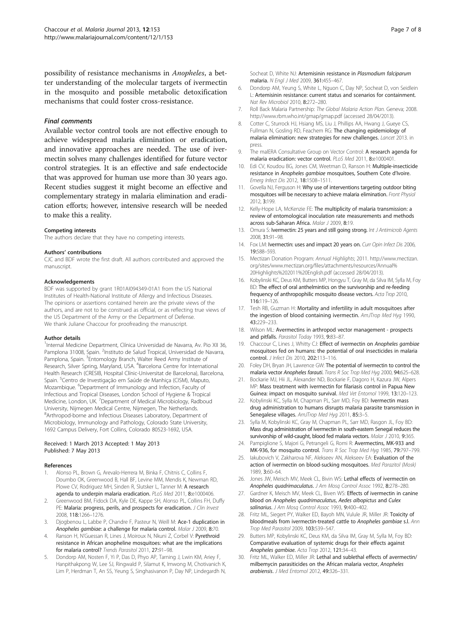<span id="page-6-0"></span>possibility of resistance mechanisms in Anopheles, a better understanding of the molecular targets of ivermectin in the mosquito and possible metabolic detoxification mechanisms that could foster cross-resistance.

#### Final comments

Available vector control tools are not effective enough to achieve widespread malaria elimination or eradication, and innovative approaches are needed. The use of ivermectin solves many challenges identified for future vector control strategies. It is an effective and safe endectocide that was approved for human use more than 30 years ago. Recent studies suggest it might become an effective and complementary strategy in malaria elimination and eradication efforts; however, intensive research will be needed to make this a reality.

#### Competing interests

The authors declare that they have no competing interests.

#### Authors' contributions

CJC and BDF wrote the first draft. All authors contributed and approved the manuscript.

#### Acknowledgements

BDF was supported by grant 1R01AI094349-01A1 from the US National Institutes of Health-National Institute of Allergy and Infectious Diseases. The opinions or assertions contained herein are the private views of the authors, and are not to be construed as official, or as reflecting true views of the US Department of the Army or the Department of Defense. We thank Juliane Chaccour for proofreading the manuscript.

#### Author details

<sup>1</sup>Internal Medicine Department, Clínica Universidad de Navarra, Av. Pio XII 36, Pamplona 31008, Spain. <sup>2</sup>Instituto de Salud Tropical, Universidad de Navarra, Pamplona, Spain. <sup>3</sup>Entomology Branch, Walter Reed Army Institute of Research, Silver Spring, Maryland, USA. <sup>4</sup>Barcelona Centre for International Health Research (CRESIB, Hospital Clínic-Universitat de Barcelona), Barcelona, Spain. <sup>5</sup>Centro de Investigação em Saúde de Manhiça (CISM), Maputo, Mozambique. <sup>6</sup>Department of Immunology and Infection, Faculty of Infectious and Tropical Diseases, London School of Hygiene & Tropical Medicine, London, UK. <sup>7</sup>Department of Medical Microbiology, Radboud University, Nijmegen Medical Centre, Nijmegen, The Netherlands. 8 Arthropod-borne and Infectious Diseases Laboratory, Department of Microbiology, Immunology and Pathology, Colorado State University, 1692 Campus Delivery, Fort Collins, Colorado 80523-1692, USA.

#### Received: 1 March 2013 Accepted: 1 May 2013 Published: 7 May 2013

#### References

- 1. Alonso PL, Brown G, Arevalo-Herrera M, Binka F, Chitnis C, Collins F, Doumbo OK, Greenwood B, Hall BF, Levine MM, Mendis K, Newman RD, Plowe CV, Rodriguez MH, Sinden R, Slutsker L, Tanner M: A research agenda to underpin malaria eradication. PLoS Med 2011, 8:e1000406.
- 2. Greenwood BM, Fidock DA, Kyle DE, Kappe SH, Alonso PL, Collins FH, Duffy PE: Malaria: progress, perils, and prospects for eradication. J Clin Invest 2008, 118:1266–1276.
- 3. Djogbenou L, Labbe P, Chandre F, Pasteur N, Weill M: Ace-1 duplication in Anopheles gambiae: a challenge for malaria control. Malar J 2009, 8:70.
- Ranson H, N'Guessan R, Lines J, Moiroux N, Nkuni Z, Corbel V: Pyrethroid resistance in African anopheline mosquitoes: what are the implications for malaria control? Trends Parasitol 2011, 27:91–98.
- 5. Dondorp AM, Nosten F, Yi P, Das D, Phyo AP, Tarning J, Lwin KM, Ariey F, Hanpithakpong W, Lee SJ, Ringwald P, Silamut K, Imwong M, Chotivanich K, Lim P, Herdman T, An SS, Yeung S, Singhasivanon P, Day NP, Lindegardh N,

Socheat D, White NJ: Artemisinin resistance in Plasmodium falciparum malaria. N Engl J Med 2009, 361:455–467.

- 6. Dondorp AM, Yeung S, White L, Nguon C, Day NP, Socheat D, von Seidlein L: Artemisinin resistance: current status and scenarios for containment. Nat Rev Microbiol 2010, 8:272–280.
- 7. Roll Back Malaria Partnership: The Global Malaria Action Plan. Geneva; 2008. <http://www.rbm.who.int/gmap/gmap.pdf> (accessed 28/04/2013).
- 8. Cotter C, Sturrock HJ, Hsiang MS, Liu J, Phillips AA, Hwang J, Gueye CS, Fullman N, Gosling RD, Feachem RG: The changing epidemiology of malaria elimination: new strategies for new challenges. Lancet 2013. in press.
- 9. The malERA Consultative Group on Vector Control: A research agenda for malaria eradication: vector control. PLoS Med 2011, 8:e1000401.
- 10. Edi CV, Koudou BG, Jones CM, Weetman D, Ranson H: Multiple-insecticide resistance in Anopheles gambiae mosquitoes, Southern Cote d'Ivoire. Emerg Infect Dis 2012, 18:1508–1511.
- 11. Govella NJ, Ferguson H: Why use of interventions targeting outdoor biting mosquitoes will be necessary to achieve malaria elimination. Front Physiol 2012, 3:199.
- 12. Kelly-Hope LA, McKenzie FE: The multiplicity of malaria transmission: a review of entomological inoculation rate measurements and methods across sub-Saharan Africa. Malar J 2009, 8:19.
- 13. Omura S: Ivermectin: 25 years and still going strong. Int J Antimicrob Agents 2008, 31:91–98.
- 14. Fox LM: Ivermectin: uses and impact 20 years on. Curr Opin Infect Dis 2006, 19:588–593.
- 15. Mectizan Donation Program: Annual Highlights; 2011. [http://www.mectizan.](http://www.mectizan.org/sites/www.mectizan.org/files/attachments/resources/Annual%20Highlights%202011%20English.pdf) [org/sites/www.mectizan.org/files/attachments/resources/Annual%](http://www.mectizan.org/sites/www.mectizan.org/files/attachments/resources/Annual%20Highlights%202011%20English.pdf) [20Highlights%202011%20English.pdf](http://www.mectizan.org/sites/www.mectizan.org/files/attachments/resources/Annual%20Highlights%202011%20English.pdf) (accessed 28/04/2013).
- 16. Kobylinski KC, Deus KM, Butters MP, Hongyu T, Gray M, da Silva IM, Sylla M, Foy BD: The effect of oral anthelmintics on the survivorship and re-feeding frequency of anthropophilic mosquito disease vectors. Acta Trop 2010, 116:119–126.
- 17. Tesh RB, Guzman H: Mortality and infertility in adult mosquitoes after the ingestion of blood containing ivermectin. AmJTrop Med Hyg 1990, 43:229–233.
- 18. Wilson ML: Avermectins in arthropod vector management prospects and pitfalls. Parasitol Today 1993, 9:83-87.
- 19. Chaccour C, Lines J, Whitty CJ: Effect of ivermectin on Anopheles gambiae mosquitoes fed on humans: the potential of oral insecticides in malaria control. J Infect Dis 2010, 202:113–116.
- 20. Foley DH, Bryan JH, Lawrence GW: The potential of ivermectin to control the malaria vector Anopheles farauti. Trans R Soc Trop Med Hyg 2000, 94:625–628.
- 21. Bockarie MJ, Hii JL, Alexander ND, Bockarie F, Dagoro H, Kazura JW, Alpers MP: Mass treatment with ivermectin for filariasis control in Papua New Guinea: impact on mosquito survival. Med Vet Entomol 1999, 13:120–123.
- 22. Kobylinski KC, Sylla M, Chapman PL, Sarr MD, Foy BD: Ivermectin mass drug administration to humans disrupts malaria parasite transmission in Senegalese villages. AmJTrop Med Hyg 2011, 85:3-5.
- 23. Sylla M, Kobylinski KC, Gray M, Chapman PL, Sarr MD, Rasgon JL, Foy BD: Mass drug administration of ivermectin in south-eastern Senegal reduces the survivorship of wild-caught, blood fed malaria vectors. Malar J 2010, 9:365.
- 24. Pampiglione S, Majori G, Petrangeli G, Romi R: Avermectins, MK-933 and MK-936, for mosquito control. Trans R Soc Trop Med Hyg 1985, 79:797–799.
- 25. Iakubovich V, Zakharova NF, Alekseev AN, Alekseev EA: Evaluation of the action of ivermectin on blood-sucking mosquitoes. Med Parazitol (Mosk) 1989, 3:60–64.
- 26. Jones JW, Meisch MV, Meek CL, Bivin WS: Lethal effects of ivermectin on Anopheles quadrimaculatus. J Am Mosq Control Assoc 1992, 8:278–280.
- 27. Gardner K, Meisch MV, Meek CL, Biven WS: Effects of ivermectin in canine blood on Anopheles quadrimaculatus, Aedes albopictus and Culex salinarius. J Am Mosq Control Assoc 1993, 9:400-402.
- 28. Fritz ML, Siegert PY, Walker ED, Bayoh MN, Vulule JR, Miller JR: Toxicity of bloodmeals from ivermectin-treated cattle to Anopheles gambiae s.l. Ann Trop Med Parasitol 2009, 103:539–547.
- 29. Butters MP, Kobylinski KC, Deus KM, da Silva IM, Gray M, Sylla M, Foy BD: Comparative evaluation of systemic drugs for their effects against Anopheles gambiae. Acta Trop 2012, 121:34-43.
- 30. Fritz ML, Walker ED, Miller JR: Lethal and sublethal effects of avermectin/ milbemycin parasiticides on the African malaria vector, Anopheles arabiensis. J Med Entomol 2012, 49:326–331.